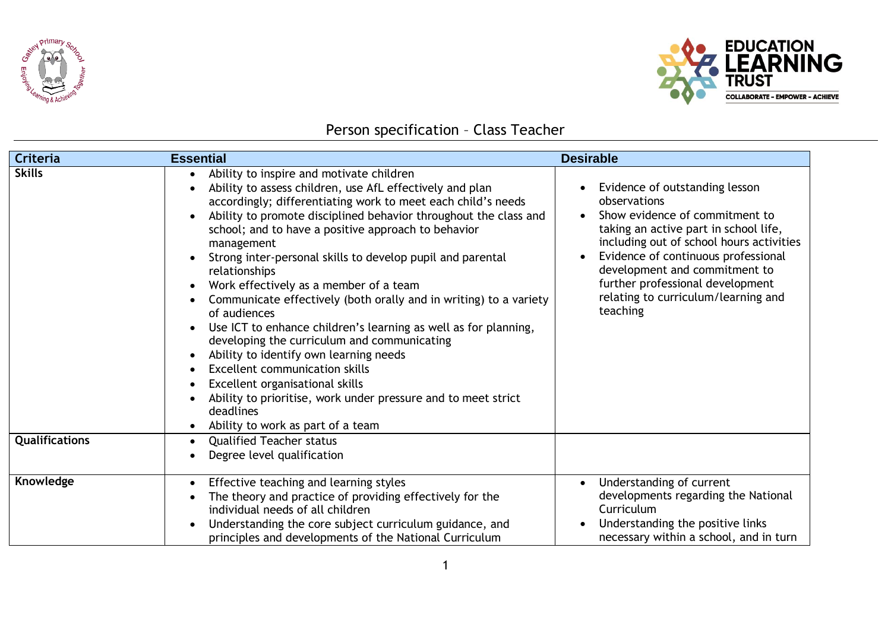



## Person specification – Class Teacher

| Criteria                        | <b>Essential</b>                                                                                                                                                                                                                                                                                                                                                                                                                                                                                                                                                                                                                                                                                                                                                                                                                                                                                                                                        | <b>Desirable</b>                                                                                                                                                                                                                                                                                                                     |
|---------------------------------|---------------------------------------------------------------------------------------------------------------------------------------------------------------------------------------------------------------------------------------------------------------------------------------------------------------------------------------------------------------------------------------------------------------------------------------------------------------------------------------------------------------------------------------------------------------------------------------------------------------------------------------------------------------------------------------------------------------------------------------------------------------------------------------------------------------------------------------------------------------------------------------------------------------------------------------------------------|--------------------------------------------------------------------------------------------------------------------------------------------------------------------------------------------------------------------------------------------------------------------------------------------------------------------------------------|
| <b>Skills</b><br>Qualifications | Ability to inspire and motivate children<br>Ability to assess children, use AfL effectively and plan<br>accordingly; differentiating work to meet each child's needs<br>Ability to promote disciplined behavior throughout the class and<br>school; and to have a positive approach to behavior<br>management<br>Strong inter-personal skills to develop pupil and parental<br>relationships<br>Work effectively as a member of a team<br>Communicate effectively (both orally and in writing) to a variety<br>of audiences<br>Use ICT to enhance children's learning as well as for planning,<br>developing the curriculum and communicating<br>Ability to identify own learning needs<br><b>Excellent communication skills</b><br>Excellent organisational skills<br>Ability to prioritise, work under pressure and to meet strict<br>deadlines<br>Ability to work as part of a team<br><b>Qualified Teacher status</b><br>Degree level qualification | Evidence of outstanding lesson<br>observations<br>Show evidence of commitment to<br>taking an active part in school life,<br>including out of school hours activities<br>Evidence of continuous professional<br>development and commitment to<br>further professional development<br>relating to curriculum/learning and<br>teaching |
| Knowledge                       | Effective teaching and learning styles<br>The theory and practice of providing effectively for the<br>individual needs of all children<br>Understanding the core subject curriculum guidance, and<br>principles and developments of the National Curriculum                                                                                                                                                                                                                                                                                                                                                                                                                                                                                                                                                                                                                                                                                             | Understanding of current<br>developments regarding the National<br>Curriculum<br>Understanding the positive links<br>necessary within a school, and in turn                                                                                                                                                                          |